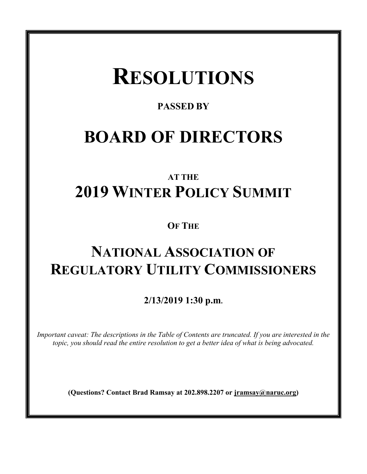# **RESOLUTIONS**

### **PASSED BY**

## **BOARD OF DIRECTORS**

## **AT THE 2019 WINTER POLICY SUMMIT**

**OF THE**

## **NATIONAL ASSOCIATION OF REGULATORY UTILITY COMMISSIONERS**

**2/13/2019 1:30 p.m.**

*Important caveat: The descriptions in the Table of Contents are truncated. If you are interested in the topic, you should read the entire resolution to get a better idea of what is being advocated.* 

**(Questions? Contact Brad Ramsay at 202.898.2207 or jramsay@naruc.org)**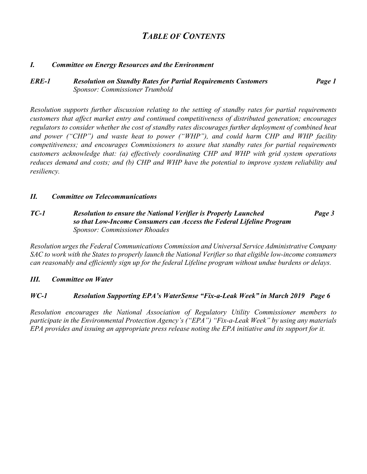### *TABLE OF CONTENTS*

#### *I. Committee on Energy Resources and the Environment*

#### *ERE-1 Resolution on Standby Rates for Partial Requirements Customers Page 1 Sponsor: Commissioner Trumbold*

*Resolution supports further discussion relating to the setting of standby rates for partial requirements customers that affect market entry and continued competitiveness of distributed generation; encourages regulators to consider whether the cost of standby rates discourages further deployment of combined heat and power ("CHP") and waste heat to power ("WHP"), and could harm CHP and WHP facility competitiveness; and encourages Commissioners to assure that standby rates for partial requirements customers acknowledge that: (a) effectively coordinating CHP and WHP with grid system operations reduces demand and costs; and (b) CHP and WHP have the potential to improve system reliability and resiliency.*

#### *II. Committee on Telecommunications*

#### *TC-1 Resolution to ensure the National Verifier is Properly Launched Page 3 so that Low-Income Consumers can Access the Federal Lifeline Program Sponsor: Commissioner Rhoades*

*Resolution urges the Federal Communications Commission and Universal Service Administrative Company SAC to work with the States to properly launch the National Verifier so that eligible low-income consumers can reasonably and efficiently sign up for the federal Lifeline program without undue burdens or delays.*

#### *III. Committee on Water*

#### *WC-1 Resolution Supporting EPA's WaterSense "Fix-a-Leak Week" in March 2019 Page 6*

*Resolution encourages the National Association of Regulatory Utility Commissioner members to participate in the Environmental Protection Agency's ("EPA") "Fix-a-Leak Week" by using any materials EPA provides and issuing an appropriate press release noting the EPA initiative and its support for it.*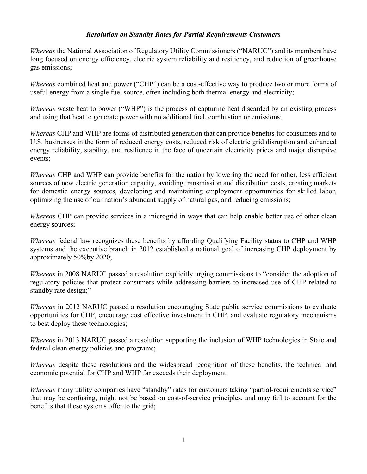#### *Resolution on Standby Rates for Partial Requirements Customers*

*Whereas* the National Association of Regulatory Utility Commissioners ("NARUC") and its members have long focused on energy efficiency, electric system reliability and resiliency, and reduction of greenhouse gas emissions;

*Whereas* combined heat and power ("CHP") can be a cost-effective way to produce two or more forms of useful energy from a single fuel source, often including both thermal energy and electricity;

*Whereas* waste heat to power ("WHP") is the process of capturing heat discarded by an existing process and using that heat to generate power with no additional fuel, combustion or emissions;

*Whereas* CHP and WHP are forms of distributed generation that can provide benefits for consumers and to U.S. businesses in the form of reduced energy costs, reduced risk of electric grid disruption and enhanced energy reliability, stability, and resilience in the face of uncertain electricity prices and major disruptive events;

*Whereas* CHP and WHP can provide benefits for the nation by lowering the need for other, less efficient sources of new electric generation capacity, avoiding transmission and distribution costs, creating markets for domestic energy sources, developing and maintaining employment opportunities for skilled labor, optimizing the use of our nation's abundant supply of natural gas, and reducing emissions;

*Whereas* CHP can provide services in a microgrid in ways that can help enable better use of other clean energy sources;

*Whereas* federal law recognizes these benefits by affording Qualifying Facility status to CHP and WHP systems and the executive branch in 2012 established a national goal of increasing CHP deployment by approximately 50%by 2020;

*Whereas* in 2008 NARUC passed a resolution explicitly urging commissions to "consider the adoption of regulatory policies that protect consumers while addressing barriers to increased use of CHP related to standby rate design;"

*Whereas* in 2012 NARUC passed a resolution encouraging State public service commissions to evaluate opportunities for CHP, encourage cost effective investment in CHP, and evaluate regulatory mechanisms to best deploy these technologies;

*Whereas* in 2013 NARUC passed a resolution supporting the inclusion of WHP technologies in State and federal clean energy policies and programs;

*Whereas* despite these resolutions and the widespread recognition of these benefits, the technical and economic potential for CHP and WHP far exceeds their deployment;

*Whereas* many utility companies have "standby" rates for customers taking "partial-requirements service" that may be confusing, might not be based on cost-of-service principles, and may fail to account for the benefits that these systems offer to the grid;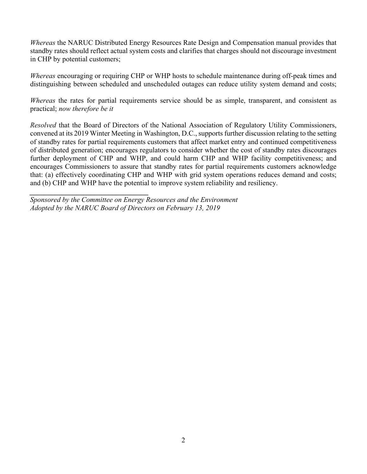*Whereas* the NARUC Distributed Energy Resources Rate Design and Compensation manual provides that standby rates should reflect actual system costs and clarifies that charges should not discourage investment in CHP by potential customers;

*Whereas* encouraging or requiring CHP or WHP hosts to schedule maintenance during off-peak times and distinguishing between scheduled and unscheduled outages can reduce utility system demand and costs;

*Whereas* the rates for partial requirements service should be as simple, transparent, and consistent as practical; *now therefore be it*

*Resolved* that the Board of Directors of the National Association of Regulatory Utility Commissioners, convened at its 2019 Winter Meeting in Washington, D.C., supports further discussion relating to the setting of standby rates for partial requirements customers that affect market entry and continued competitiveness of distributed generation; encourages regulators to consider whether the cost of standby rates discourages further deployment of CHP and WHP, and could harm CHP and WHP facility competitiveness; and encourages Commissioners to assure that standby rates for partial requirements customers acknowledge that: (a) effectively coordinating CHP and WHP with grid system operations reduces demand and costs; and (b) CHP and WHP have the potential to improve system reliability and resiliency.

*Sponsored by the Committee on Energy Resources and the Environment Adopted by the NARUC Board of Directors on February 13, 2019*

*\_\_\_\_\_\_\_\_\_\_\_\_\_\_\_\_\_\_\_\_\_\_\_\_\_\_\_\_\_\_\_\_\_*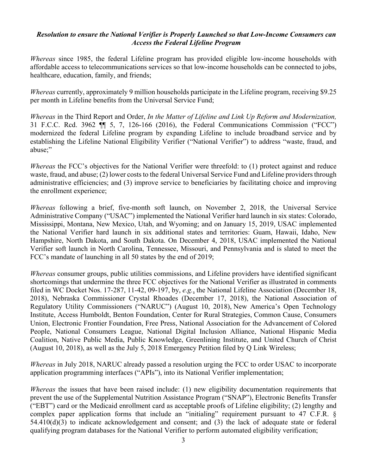#### *Resolution to ensure the National Verifier is Properly Launched so that Low-Income Consumers can Access the Federal Lifeline Program*

*Whereas* since 1985, the federal Lifeline program has provided eligible low-income households with affordable access to telecommunications services so that low-income households can be connected to jobs, healthcare, education, family, and friends;

*Whereas* currently, approximately 9 million households participate in the Lifeline program, receiving \$9.25 per month in Lifeline benefits from the Universal Service Fund;

*Whereas* in the Third Report and Order, *In the Matter of Lifeline and Link Up Reform and Modernization,*  31 F.C.C. Rcd. 3962 ¶¶ 5, 7, 126-166 (2016), the Federal Communications Commission ("FCC") modernized the federal Lifeline program by expanding Lifeline to include broadband service and by establishing the Lifeline National Eligibility Verifier ("National Verifier") to address "waste, fraud, and abuse;"

*Whereas* the FCC's objectives for the National Verifier were threefold: to (1) protect against and reduce waste, fraud, and abuse; (2) lower costs to the federal Universal Service Fund and Lifeline providers through administrative efficiencies; and (3) improve service to beneficiaries by facilitating choice and improving the enrollment experience;

*Whereas* following a brief, five-month soft launch, on November 2, 2018, the Universal Service Administrative Company ("USAC") implemented the National Verifier hard launch in six states: Colorado, Mississippi, Montana, New Mexico, Utah, and Wyoming; and on January 15, 2019, USAC implemented the National Verifier hard launch in six additional states and territories: Guam, Hawaii, Idaho, New Hampshire, North Dakota, and South Dakota. On December 4, 2018, USAC implemented the National Verifier soft launch in North Carolina, Tennessee, Missouri, and Pennsylvania and is slated to meet the FCC's mandate of launching in all 50 states by the end of 2019;

*Whereas* consumer groups, public utilities commissions, and Lifeline providers have identified significant shortcomings that undermine the three FCC objectives for the National Verifier as illustrated in comments filed in WC Docket Nos. 17-287, 11-42, 09-197, by, *e.g.*, the National Lifeline Association (December 18, 2018), Nebraska Commissioner Crystal Rhoades (December 17, 2018), the National Association of Regulatory Utility Commissioners ("NARUC") (August 10, 2018), New America's Open Technology Institute, Access Humboldt, Benton Foundation, Center for Rural Strategies, Common Cause, Consumers Union, Electronic Frontier Foundation, Free Press, National Association for the Advancement of Colored People, National Consumers League, National Digital Inclusion Alliance, National Hispanic Media Coalition, Native Public Media, Public Knowledge, Greenlining Institute, and United Church of Christ (August 10, 2018), as well as the July 5, 2018 Emergency Petition filed by Q Link Wireless;

*Whereas* in July 2018, NARUC already passed a resolution urging the FCC to order USAC to incorporate application programming interfaces ("APIs"), into its National Verifier implementation;

*Whereas* the issues that have been raised include: (1) new eligibility documentation requirements that prevent the use of the Supplemental Nutrition Assistance Program ("SNAP"), Electronic Benefits Transfer ("EBT") card or the Medicaid enrollment card as acceptable proofs of Lifeline eligibility; (2) lengthy and complex paper application forms that include an "initialing" requirement pursuant to 47 C.F.R. §  $54.410(d)(3)$  to indicate acknowledgement and consent; and (3) the lack of adequate state or federal qualifying program databases for the National Verifier to perform automated eligibility verification;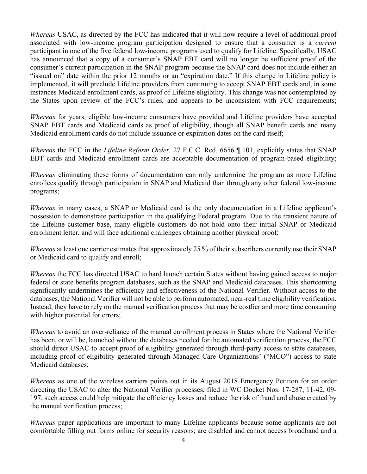*Whereas* USAC, as directed by the FCC has indicated that it will now require a level of additional proof associated with low-income program participation designed to ensure that a consumer is a *current* participant in one of the five federal low-income programs used to qualify for Lifeline. Specifically, USAC has announced that a copy of a consumer's SNAP EBT card will no longer be sufficient proof of the consumer's current participation in the SNAP program because the SNAP card does not include either an "issued on" date within the prior 12 months or an "expiration date." If this change in Lifeline policy is implemented, it will preclude Lifeline providers from continuing to accept SNAP EBT cards and, in some instances Medicaid enrollment cards, as proof of Lifeline eligibility. This change was not contemplated by the States upon review of the FCC's rules, and appears to be inconsistent with FCC requirements;

*Whereas* for years, eligible low-income consumers have provided and Lifeline providers have accepted SNAP EBT cards and Medicaid cards as proof of eligibility, though all SNAP benefit cards and many Medicaid enrollment cards do not include issuance or expiration dates on the card itself;

*Whereas* the FCC in the *Lifeline Reform Order,* 27 F.C.C. Rcd. 6656 ¶ 101, explicitly states that SNAP EBT cards and Medicaid enrollment cards are acceptable documentation of program-based eligibility;

*Whereas* eliminating these forms of documentation can only undermine the program as more Lifeline enrollees qualify through participation in SNAP and Medicaid than through any other federal low-income programs;

*Whereas* in many cases, a SNAP or Medicaid card is the only documentation in a Lifeline applicant's possession to demonstrate participation in the qualifying Federal program. Due to the transient nature of the Lifeline customer base, many eligible customers do not hold onto their initial SNAP or Medicaid enrollment letter, and will face additional challenges obtaining another physical proof;

*Whereas* at least one carrier estimates that approximately 25 % of their subscribers currently use their SNAP or Medicaid card to qualify and enroll;

*Whereas* the FCC has directed USAC to hard launch certain States without having gained access to major federal or state benefits program databases, such as the SNAP and Medicaid databases. This shortcoming significantly undermines the efficiency and effectiveness of the National Verifier. Without access to the databases, the National Verifier will not be able to perform automated, near-real time eligibility verification. Instead, they have to rely on the manual verification process that may be costlier and more time consuming with higher potential for errors;

*Whereas* to avoid an over-reliance of the manual enrollment process in States where the National Verifier has been, or will be, launched without the databases needed for the automated verification process, the FCC should direct USAC to accept proof of eligibility generated through third-party access to state databases, including proof of eligibility generated through Managed Care Organizations' ("MCO") access to state Medicaid databases;

*Whereas* as one of the wireless carriers points out in its August 2018 Emergency Petition for an order directing the USAC to alter the National Verifier processes, filed in WC Docket Nos. 17-287, 11-42, 09- 197, such access could help mitigate the efficiency losses and reduce the risk of fraud and abuse created by the manual verification process;

*Whereas* paper applications are important to many Lifeline applicants because some applicants are not comfortable filling out forms online for security reasons; are disabled and cannot access broadband and a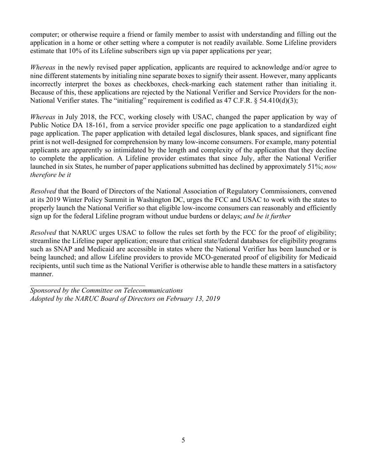computer; or otherwise require a friend or family member to assist with understanding and filling out the application in a home or other setting where a computer is not readily available. Some Lifeline providers estimate that 10% of its Lifeline subscribers sign up via paper applications per year;

*Whereas* in the newly revised paper application, applicants are required to acknowledge and/or agree to nine different statements by initialing nine separate boxes to signify their assent. However, many applicants incorrectly interpret the boxes as checkboxes, check-marking each statement rather than initialing it. Because of this, these applications are rejected by the National Verifier and Service Providers for the non-National Verifier states. The "initialing" requirement is codified as 47 C.F.R. § 54.410(d)(3);

*Whereas* in July 2018, the FCC, working closely with USAC, changed the paper application by way of Public Notice DA 18-161, from a service provider specific one page application to a standardized eight page application. The paper application with detailed legal disclosures, blank spaces, and significant fine print is not well-designed for comprehension by many low-income consumers. For example, many potential applicants are apparently so intimidated by the length and complexity of the application that they decline to complete the application. A Lifeline provider estimates that since July, after the National Verifier launched in six States, he number of paper applications submitted has declined by approximately 51%; *now therefore be it*

*Resolved* that the Board of Directors of the National Association of Regulatory Commissioners, convened at its 2019 Winter Policy Summit in Washington DC, urges the FCC and USAC to work with the states to properly launch the National Verifier so that eligible low-income consumers can reasonably and efficiently sign up for the federal Lifeline program without undue burdens or delays; *and be it further*

*Resolved* that NARUC urges USAC to follow the rules set forth by the FCC for the proof of eligibility; streamline the Lifeline paper application; ensure that critical state/federal databases for eligibility programs such as SNAP and Medicaid are accessible in states where the National Verifier has been launched or is being launched; and allow Lifeline providers to provide MCO-generated proof of eligibility for Medicaid recipients, until such time as the National Verifier is otherwise able to handle these matters in a satisfactory manner.

*Sponsored by the Committee on Telecommunications Adopted by the NARUC Board of Directors on February 13, 2019*